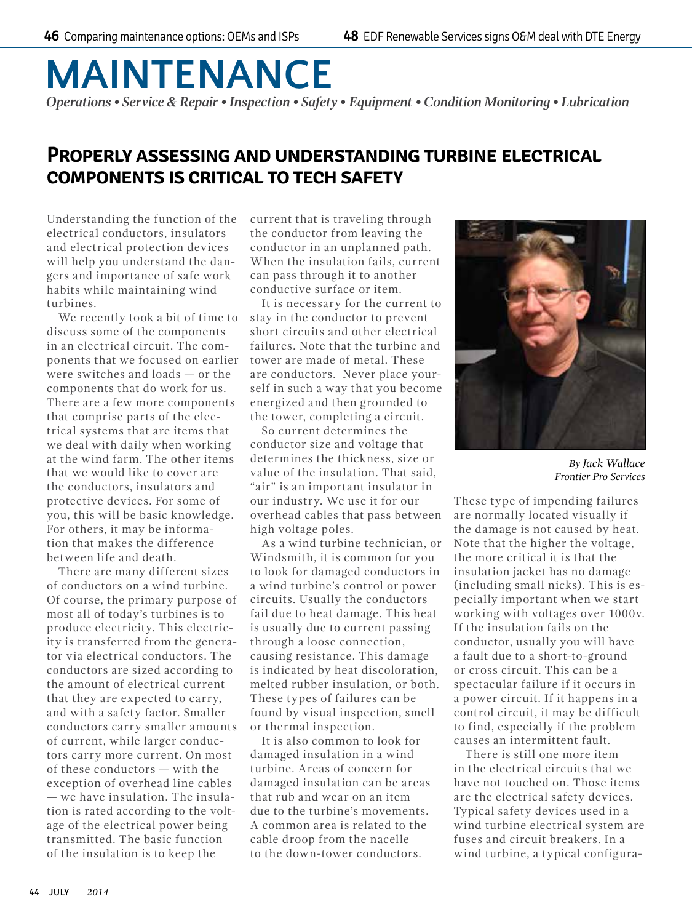## **MAINTENANCE**

*Operations • Service & Repair • Inspection • Safety • Equipment • Condition Monitoring • Lubrication*

## **Properly assessing and understanding turbine electrical components is critical to tech safety**

Understanding the function of the electrical conductors, insulators and electrical protection devices will help you understand the dangers and importance of safe work habits while maintaining wind turbines.

We recently took a bit of time to discuss some of the components in an electrical circuit. The components that we focused on earlier were switches and loads — or the components that do work for us. There are a few more components that comprise parts of the electrical systems that are items that we deal with daily when working at the wind farm. The other items that we would like to cover are the conductors, insulators and protective devices. For some of you, this will be basic knowledge. For others, it may be information that makes the difference between life and death.

There are many different sizes of conductors on a wind turbine. Of course, the primary purpose of most all of today's turbines is to produce electricity. This electricity is transferred from the generator via electrical conductors. The conductors are sized according to the amount of electrical current that they are expected to carry, and with a safety factor. Smaller conductors carry smaller amounts of current, while larger conductors carry more current. On most of these conductors — with the exception of overhead line cables — we have insulation. The insulation is rated according to the voltage of the electrical power being transmitted. The basic function of the insulation is to keep the

current that is traveling through the conductor from leaving the conductor in an unplanned path. When the insulation fails, current can pass through it to another conductive surface or item.

It is necessary for the current to stay in the conductor to prevent short circuits and other electrical failures. Note that the turbine and tower are made of metal. These are conductors. Never place yourself in such a way that you become energized and then grounded to the tower, completing a circuit.

So current determines the conductor size and voltage that determines the thickness, size or value of the insulation. That said, "air" is an important insulator in our industry. We use it for our overhead cables that pass between high voltage poles.

As a wind turbine technician, or Windsmith, it is common for you to look for damaged conductors in a wind turbine's control or power circuits. Usually the conductors fail due to heat damage. This heat is usually due to current passing through a loose connection, causing resistance. This damage is indicated by heat discoloration, melted rubber insulation, or both. These types of failures can be found by visual inspection, smell or thermal inspection.

It is also common to look for damaged insulation in a wind turbine. Areas of concern for damaged insulation can be areas that rub and wear on an item due to the turbine's movements. A common area is related to the cable droop from the nacelle to the down-tower conductors.



*By Jack Wallace Frontier Pro Services*

These type of impending failures are normally located visually if the damage is not caused by heat. Note that the higher the voltage, the more critical it is that the insulation jacket has no damage (including small nicks). This is especially important when we start working with voltages over 1000v. If the insulation fails on the conductor, usually you will have a fault due to a short-to-ground or cross circuit. This can be a spectacular failure if it occurs in a power circuit. If it happens in a control circuit, it may be difficult to find, especially if the problem causes an intermittent fault.

There is still one more item in the electrical circuits that we have not touched on. Those items are the electrical safety devices. Typical safety devices used in a wind turbine electrical system are fuses and circuit breakers. In a wind turbine, a typical configura